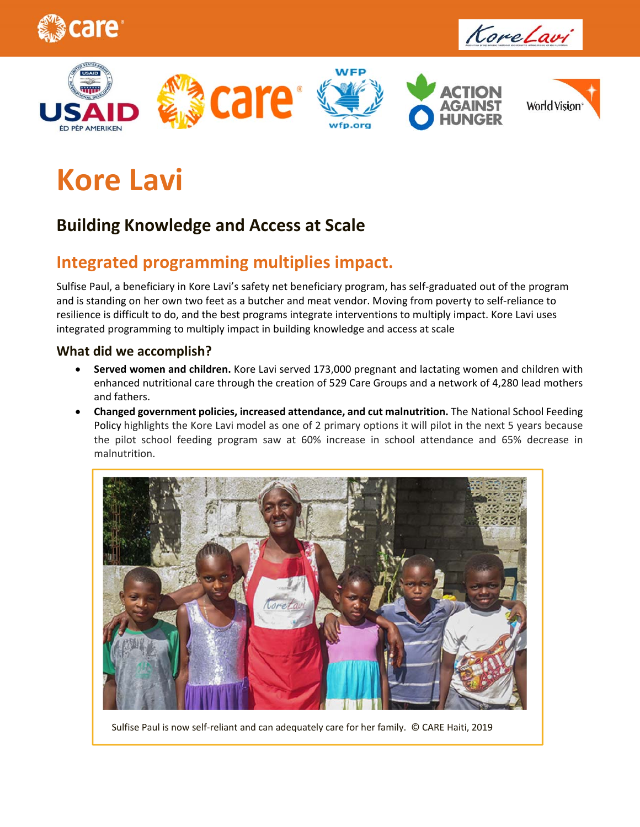











# **Kore Lavi**

### **Building Knowledge and Access at Scale**

## **Integrated programming multiplies impact.**

Sulfise Paul, a beneficiary in Kore Lavi's safety net beneficiary program, has self‐graduated out of the program and is standing on her own two feet as a butcher and meat vendor. Moving from poverty to self-reliance to resilience is difficult to do, and the best programs integrate interventions to multiply impact. Kore Lavi uses integrated programming to multiply impact in building knowledge and access at scale

#### **What did we accomplish?**

- **Served women and children.** Kore Lavi served 173,000 pregnant and lactating women and children with enhanced nutritional care through the creation of 529 Care Groups and a network of 4,280 lead mothers and fathers.
- **Changed government policies, increased attendance, and cut malnutrition.** The National School Feeding Policy highlights the Kore Lavi model as one of 2 primary options it will pilot in the next 5 years because the pilot school feeding program saw at 60% increase in school attendance and 65% decrease in malnutrition.



Sulfise Paul is now self‐reliant and can adequately care for her family. © CARE Haiti, 2019